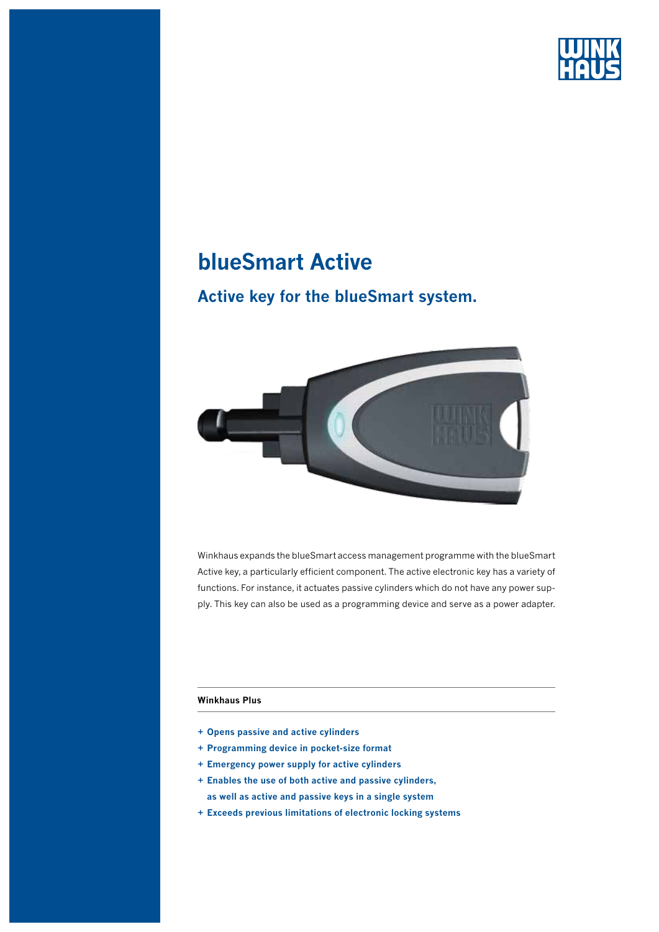

## **blueSmart Active**

## **Active key for the blueSmart system.**



Winkhaus expands the blueSmart access management programme with the blueSmart Active key, a particularly efficient component. The active electronic key has a variety of functions. For instance, it actuates passive cylinders which do not have any power supply. This key can also be used as a programming device and serve as a power adapter.

#### **Winkhaus Plus**

- **+ Opens passive and active cylinders**
- **+ Programming device in pocket-size format**
- **+ Emergency power supply for active cylinders**
- **+ Enables the use of both active and passive cylinders, as well as active and passive keys in a single system**
- **+ Exceeds previous limitations of electronic locking systems**